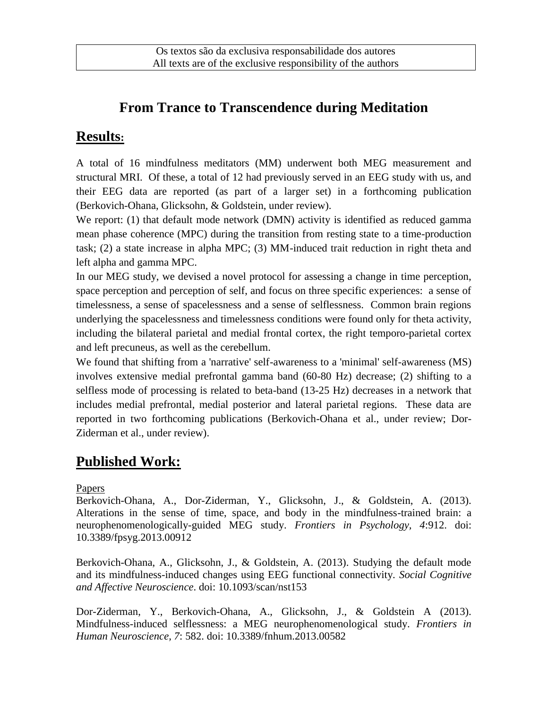# **From Trance to Transcendence during Meditation**

### **Results:**

A total of 16 mindfulness meditators (MM) underwent both MEG measurement and structural MRI. Of these, a total of 12 had previously served in an EEG study with us, and their EEG data are reported (as part of a larger set) in a forthcoming publication (Berkovich-Ohana, Glicksohn, & Goldstein, under review).

We report: (1) that default mode network (DMN) activity is identified as reduced gamma mean phase coherence (MPC) during the transition from resting state to a time-production task; (2) a state increase in alpha MPC; (3) MM-induced trait reduction in right theta and left alpha and gamma MPC.

In our MEG study, we devised a novel protocol for assessing a change in time perception, space perception and perception of self, and focus on three specific experiences: a sense of timelessness, a sense of spacelessness and a sense of selflessness. Common brain regions underlying the spacelessness and timelessness conditions were found only for theta activity, including the bilateral parietal and medial frontal cortex, the right temporo-parietal cortex and left precuneus, as well as the cerebellum.

We found that shifting from a 'narrative' self-awareness to a 'minimal' self-awareness (MS) involves extensive medial prefrontal gamma band (60-80 Hz) decrease; (2) shifting to a selfless mode of processing is related to beta-band (13-25 Hz) decreases in a network that includes medial prefrontal, medial posterior and lateral parietal regions. These data are reported in two forthcoming publications (Berkovich-Ohana et al., under review; Dor-Ziderman et al., under review).

## **Published Work:**

#### Papers

Berkovich-Ohana, A., Dor-Ziderman, Y., Glicksohn, J., & Goldstein, A. (2013). Alterations in the sense of time, space, and body in the mindfulness-trained brain: a neurophenomenologically-guided MEG study. *Frontiers in Psychology, 4*:912. doi: 10.3389/fpsyg.2013.00912

Berkovich-Ohana, A., Glicksohn, J., & Goldstein, A. (2013). Studying the default mode and its mindfulness-induced changes using EEG functional connectivity. *Social Cognitive and Affective Neuroscience*. doi: 10.1093/scan/nst153

Dor-Ziderman, Y., Berkovich-Ohana, A., Glicksohn, J., & Goldstein A (2013). Mindfulness-induced selflessness: a MEG neurophenomenological study. *Frontiers in Human Neuroscience, 7*: 582. doi: 10.3389/fnhum.2013.00582